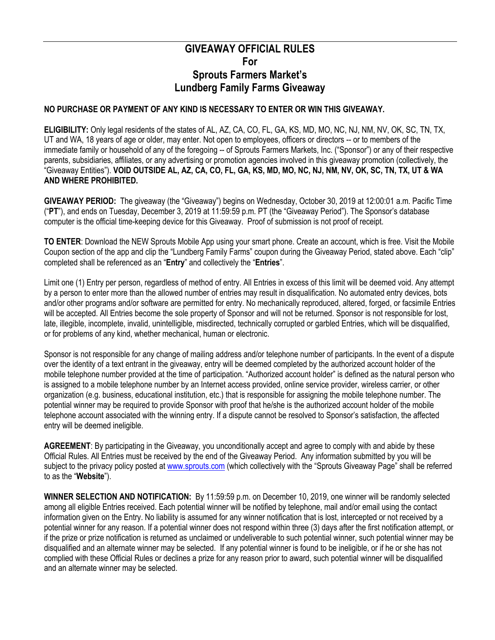## **GIVEAWAY OFFICIAL RULES For Sprouts Farmers Market's Lundberg Family Farms Giveaway**

## **NO PURCHASE OR PAYMENT OF ANY KIND IS NECESSARY TO ENTER OR WIN THIS GIVEAWAY.**

**ELIGIBILITY:** Only legal residents of the states of AL, AZ, CA, CO, FL, GA, KS, MD, MO, NC, NJ, NM, NV, OK, SC, TN, TX, UT and WA, 18 years of age or older, may enter. Not open to employees, officers or directors -- or to members of the immediate family or household of any of the foregoing -- of Sprouts Farmers Markets, Inc. ("Sponsor") or any of their respective parents, subsidiaries, affiliates, or any advertising or promotion agencies involved in this giveaway promotion (collectively, the "Giveaway Entities"). **VOID OUTSIDE AL, AZ, CA, CO, FL, GA, KS, MD, MO, NC, NJ, NM, NV, OK, SC, TN, TX, UT & WA AND WHERE PROHIBITED.**

**GIVEAWAY PERIOD:** The giveaway (the "Giveaway") begins on Wednesday, October 30, 2019 at 12:00:01 a.m. Pacific Time ("**PT**"), and ends on Tuesday, December 3, 2019 at 11:59:59 p.m. PT (the "Giveaway Period"). The Sponsor's database computer is the official time-keeping device for this Giveaway. Proof of submission is not proof of receipt.

**TO ENTER**: Download the NEW Sprouts Mobile App using your smart phone. Create an account, which is free. Visit the Mobile Coupon section of the app and clip the "Lundberg Family Farms" coupon during the Giveaway Period, stated above. Each "clip" completed shall be referenced as an "**Entry**" and collectively the "**Entries**".

Limit one (1) Entry per person, regardless of method of entry. All Entries in excess of this limit will be deemed void. Any attempt by a person to enter more than the allowed number of entries may result in disqualification. No automated entry devices, bots and/or other programs and/or software are permitted for entry. No mechanically reproduced, altered, forged, or facsimile Entries will be accepted. All Entries become the sole property of Sponsor and will not be returned. Sponsor is not responsible for lost, late, illegible, incomplete, invalid, unintelligible, misdirected, technically corrupted or garbled Entries, which will be disqualified, or for problems of any kind, whether mechanical, human or electronic.

Sponsor is not responsible for any change of mailing address and/or telephone number of participants. In the event of a dispute over the identity of a text entrant in the giveaway, entry will be deemed completed by the authorized account holder of the mobile telephone number provided at the time of participation. "Authorized account holder" is defined as the natural person who is assigned to a mobile telephone number by an Internet access provided, online service provider, wireless carrier, or other organization (e.g. business, educational institution, etc.) that is responsible for assigning the mobile telephone number. The potential winner may be required to provide Sponsor with proof that he/she is the authorized account holder of the mobile telephone account associated with the winning entry. If a dispute cannot be resolved to Sponsor's satisfaction, the affected entry will be deemed ineligible.

**AGREEMENT**: By participating in the Giveaway, you unconditionally accept and agree to comply with and abide by these Official Rules. All Entries must be received by the end of the Giveaway Period. Any information submitted by you will be subject to the privacy policy posted at www.sprouts.com (which collectively with the "Sprouts Giveaway Page" shall be referred to as the "**Website**").

**WINNER SELECTION AND NOTIFICATION:** By 11:59:59 p.m. on December 10, 2019, one winner will be randomly selected among all eligible Entries received. Each potential winner will be notified by telephone, mail and/or email using the contact information given on the Entry. No liability is assumed for any winner notification that is lost, intercepted or not received by a potential winner for any reason. If a potential winner does not respond within three (3) days after the first notification attempt, or if the prize or prize notification is returned as unclaimed or undeliverable to such potential winner, such potential winner may be disqualified and an alternate winner may be selected. If any potential winner is found to be ineligible, or if he or she has not complied with these Official Rules or declines a prize for any reason prior to award, such potential winner will be disqualified and an alternate winner may be selected.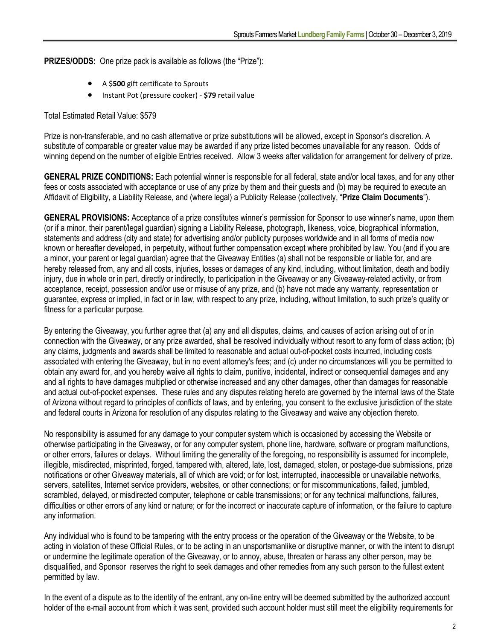**PRIZES/ODDS:** One prize pack is available as follows (the "Prize"):

- A \$**500** gift certificate to Sprouts
- Instant Pot (pressure cooker) **\$79** retail value

Total Estimated Retail Value: \$579

Prize is non-transferable, and no cash alternative or prize substitutions will be allowed, except in Sponsor's discretion. A substitute of comparable or greater value may be awarded if any prize listed becomes unavailable for any reason. Odds of winning depend on the number of eligible Entries received. Allow 3 weeks after validation for arrangement for delivery of prize.

**GENERAL PRIZE CONDITIONS:** Each potential winner is responsible for all federal, state and/or local taxes, and for any other fees or costs associated with acceptance or use of any prize by them and their guests and (b) may be required to execute an Affidavit of Eligibility, a Liability Release, and (where legal) a Publicity Release (collectively, "**Prize Claim Documents**").

**GENERAL PROVISIONS:** Acceptance of a prize constitutes winner's permission for Sponsor to use winner's name, upon them (or if a minor, their parent/legal guardian) signing a Liability Release, photograph, likeness, voice, biographical information, statements and address (city and state) for advertising and/or publicity purposes worldwide and in all forms of media now known or hereafter developed, in perpetuity, without further compensation except where prohibited by law. You (and if you are a minor, your parent or legal guardian) agree that the Giveaway Entities (a) shall not be responsible or liable for, and are hereby released from, any and all costs, injuries, losses or damages of any kind, including, without limitation, death and bodily injury, due in whole or in part, directly or indirectly, to participation in the Giveaway or any Giveaway-related activity, or from acceptance, receipt, possession and/or use or misuse of any prize, and (b) have not made any warranty, representation or guarantee, express or implied, in fact or in law, with respect to any prize, including, without limitation, to such prize's quality or fitness for a particular purpose.

By entering the Giveaway, you further agree that (a) any and all disputes, claims, and causes of action arising out of or in connection with the Giveaway, or any prize awarded, shall be resolved individually without resort to any form of class action; (b) any claims, judgments and awards shall be limited to reasonable and actual out-of-pocket costs incurred, including costs associated with entering the Giveaway, but in no event attorney's fees; and (c) under no circumstances will you be permitted to obtain any award for, and you hereby waive all rights to claim, punitive, incidental, indirect or consequential damages and any and all rights to have damages multiplied or otherwise increased and any other damages, other than damages for reasonable and actual out-of-pocket expenses. These rules and any disputes relating hereto are governed by the internal laws of the State of Arizona without regard to principles of conflicts of laws, and by entering, you consent to the exclusive jurisdiction of the state and federal courts in Arizona for resolution of any disputes relating to the Giveaway and waive any objection thereto.

No responsibility is assumed for any damage to your computer system which is occasioned by accessing the Website or otherwise participating in the Giveaway, or for any computer system, phone line, hardware, software or program malfunctions, or other errors, failures or delays. Without limiting the generality of the foregoing, no responsibility is assumed for incomplete, illegible, misdirected, misprinted, forged, tampered with, altered, late, lost, damaged, stolen, or postage-due submissions, prize notifications or other Giveaway materials, all of which are void; or for lost, interrupted, inaccessible or unavailable networks, servers, satellites, Internet service providers, websites, or other connections; or for miscommunications, failed, jumbled, scrambled, delayed, or misdirected computer, telephone or cable transmissions; or for any technical malfunctions, failures, difficulties or other errors of any kind or nature; or for the incorrect or inaccurate capture of information, or the failure to capture any information.

Any individual who is found to be tampering with the entry process or the operation of the Giveaway or the Website, to be acting in violation of these Official Rules, or to be acting in an unsportsmanlike or disruptive manner, or with the intent to disrupt or undermine the legitimate operation of the Giveaway, or to annoy, abuse, threaten or harass any other person, may be disqualified, and Sponsor reserves the right to seek damages and other remedies from any such person to the fullest extent permitted by law.

In the event of a dispute as to the identity of the entrant, any on-line entry will be deemed submitted by the authorized account holder of the e-mail account from which it was sent, provided such account holder must still meet the eligibility requirements for